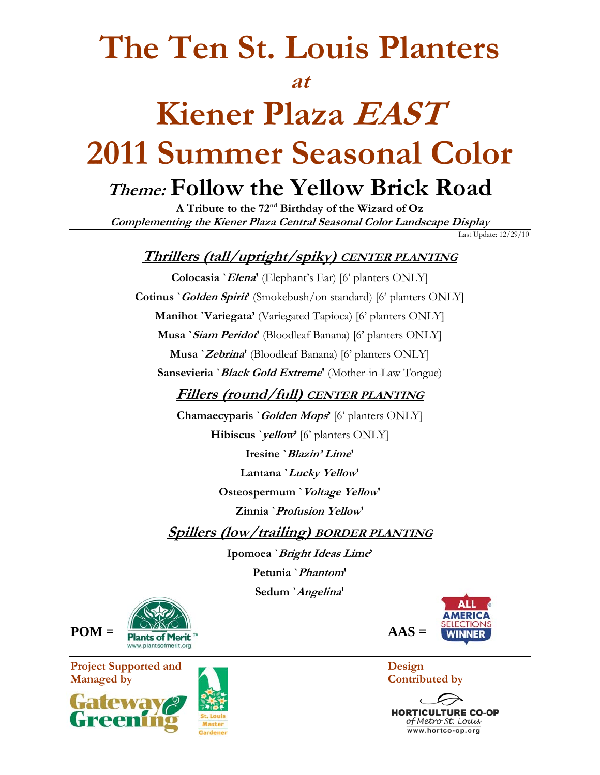# **The Ten St. Louis Planters**

### **at**

### **Kiener Plaza EAST 2011 Summer Seasonal Color Theme: Follow the Yellow Brick Road**

**A Tribute to the 72nd Birthday of the Wizard of Oz Complementing the Kiener Plaza Central Seasonal Color Landscape Display** 

Last Update: 12/29/10

### **Thrillers (tall/upright/spiky) CENTER PLANTING**

**Colocasia `Elena'** (Elephant's Ear) [6' planters ONLY] **Cotinus `Golden Spirit'** (Smokebush/on standard) [6' planters ONLY] **Manihot `Variegata'** (Variegated Tapioca) [6' planters ONLY] **Musa `Siam Peridot'** (Bloodleaf Banana) [6' planters ONLY] **Musa `Zebrina'** (Bloodleaf Banana) [6' planters ONLY] **Sansevieria `Black Gold Extreme'** (Mother-in-Law Tongue) **Fillers (round/full) CENTER PLANTING Chamaecyparis `Golden Mops'** [6' planters ONLY] **Hibiscus `yellow'** [6' planters ONLY] **Iresine `Blazin' Lime' Lantana `Lucky Yellow' Osteospermum `Voltage Yellow' Zinnia `Profusion Yellow' Spillers (low/trailing) BORDER PLANTING**

**Ipomoea `Bright Ideas Lime' Petunia `Phantom' Sedum `Angelina'** 



**HORTICULTURE CO-OP** of Metro St. Louis www.hortco-op.org



**Project Supported and Design CONSERVANTS Managed by Contributed by** Contributed by 

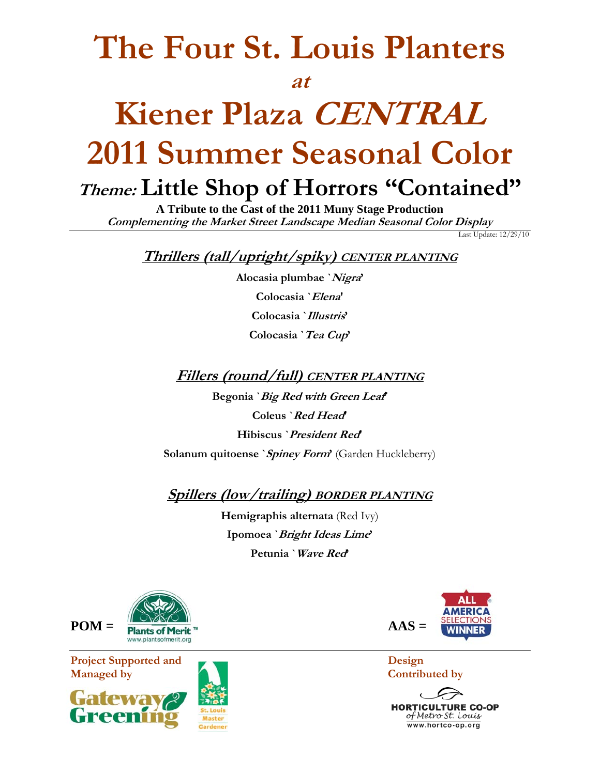## **The Four St. Louis Planters**

#### **at**

## **Kiener Plaza CENTRAL 2011 Summer Seasonal Color Theme: Little Shop of Horrors "Contained"**

**A Tribute to the Cast of the 2011 Muny Stage Production Complementing the Market Street Landscape Median Seasonal Color Display** 

Last Update: 12/29/10

**Thrillers (tall/upright/spiky) CENTER PLANTING**

**Alocasia plumbae `Nigra' Colocasia `Elena' Colocasia `Illustris' Colocasia `Tea Cup'** 

**Fillers (round/full) CENTER PLANTING**

**Begonia `Big Red with Green Leaf' Coleus `Red Head' Hibiscus `President Red' Solanum quitoense `Spiney Form'** (Garden Huckleberry)

**Spillers (low/trailing) BORDER PLANTING**

**Hemigraphis alternata** (Red Ivy) **Ipomoea `Bright Ideas Lime' Petunia `Wave Red'** 



**Project Supported and Design CONSERVANCE DESIGN DESIGN DESIGN DESIGN DESIGN DESIGN DESIGN DESIGN DESIGN DESIGN DESIGN DESIGN DESIGN DESIGN DESIGN DESIGN DESIGN DESIGN DESIGN DESIGN DESIGN DESIGN DESIGN DESIGN DESIGN DESIG Managed by Contributed by** Contributed by







**HORTICULTURE CO-OP** of Metro St. Louis www.hortco-op.org